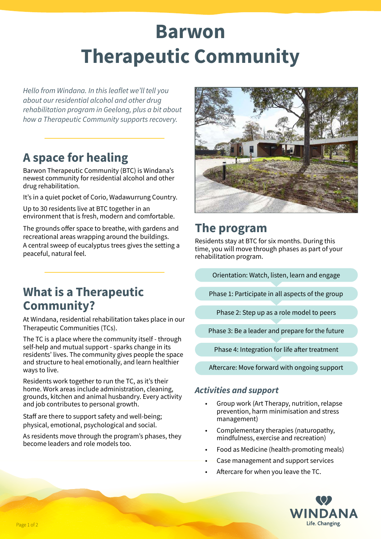# **Barwon Therapeutic Community**

*Hello from Windana. In this leaflet we'll tell you about our residential alcohol and other drug rehabilitation program in Geelong, plus a bit about how a Therapeutic Community supports recovery.*

# **A space for healing**

Barwon Therapeutic Community (BTC) is Windana's newest community for residential alcohol and other drug rehabilitation.

It's in a quiet pocket of Corio, Wadawurrung Country.

Up to 30 residents live at BTC together in an environment that is fresh, modern and comfortable.

The grounds offer space to breathe, with gardens and recreational areas wrapping around the buildings. A central sweep of eucalyptus trees gives the setting a peaceful, natural feel.



# **The program**

Residents stay at BTC for six months. During this time, you will move through phases as part of your rehabilitation program.

Orientation: Watch, listen, learn and engage

Phase 1: Participate in all aspects of the group

Phase 2: Step up as a role model to peers

Phase 3: Be a leader and prepare for the future

Phase 4: Integration for life after treatment

Aftercare: Move forward with ongoing support

#### *Activities and support*

- Group work (Art Therapy, nutrition, relapse prevention, harm minimisation and stress management)
- Complementary therapies (naturopathy, mindfulness, exercise and recreation)
- Food as Medicine (health-promoting meals)
- Case management and support services
- Aftercare for when you leave the TC.



# **What is a Therapeutic Community?**

At Windana, residential rehabilitation takes place in our Therapeutic Communities (TCs).

The TC is a place where the community itself - through self-help and mutual support - sparks change in its residents' lives. The community gives people the space and structure to heal emotionally, and learn healthier ways to live.

Residents work together to run the TC, as it's their home. Work areas include administration, cleaning, grounds, kitchen and animal husbandry. Every activity and job contributes to personal growth.

Staff are there to support safety and well-being; physical, emotional, psychological and social.

As residents move through the program's phases, they become leaders and role models too.